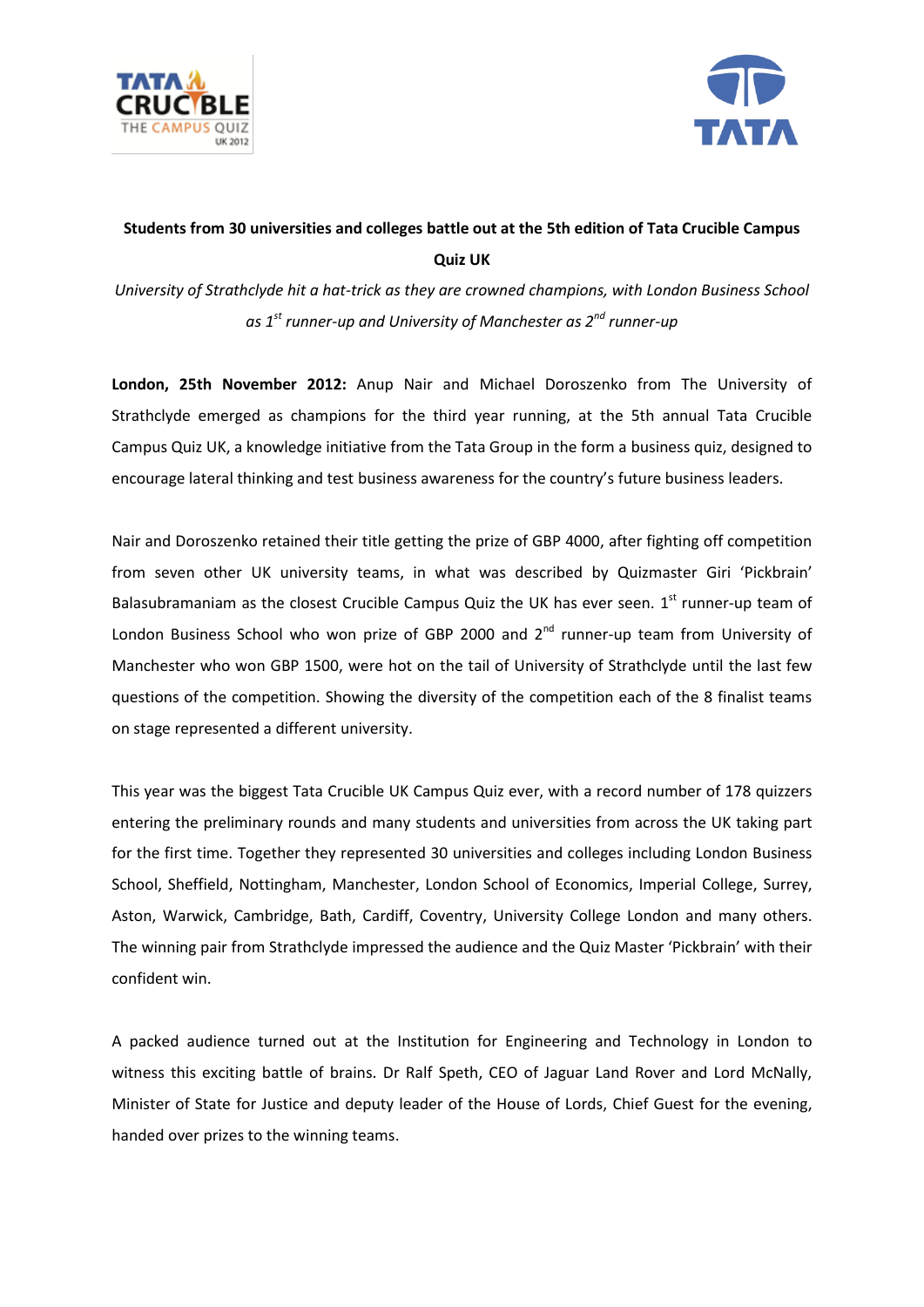



## **Students from 30 universities and colleges battle out at the 5th edition of Tata Crucible Campus Quiz UK**

*University of Strathclyde hit a hat-trick as they are crowned champions, with London Business School as 1st runner-up and University of Manchester as 2nd runner-up*

**London, 25th November 2012:** Anup Nair and Michael Doroszenko from The University of Strathclyde emerged as champions for the third year running, at the 5th annual Tata Crucible Campus Quiz UK, a knowledge initiative from the Tata Group in the form a business quiz, designed to encourage lateral thinking and test business awareness for the country's future business leaders.

Nair and Doroszenko retained their title getting the prize of GBP 4000, after fighting off competition from seven other UK university teams, in what was described by Quizmaster Giri 'Pickbrain' Balasubramaniam as the closest Crucible Campus Quiz the UK has ever seen.  $1^{st}$  runner-up team of London Business School who won prize of GBP 2000 and 2<sup>nd</sup> runner-up team from University of Manchester who won GBP 1500, were hot on the tail of University of Strathclyde until the last few questions of the competition. Showing the diversity of the competition each of the 8 finalist teams on stage represented a different university.

This year was the biggest Tata Crucible UK Campus Quiz ever, with a record number of 178 quizzers entering the preliminary rounds and many students and universities from across the UK taking part for the first time. Together they represented 30 universities and colleges including London Business School, Sheffield, Nottingham, Manchester, London School of Economics, Imperial College, Surrey, Aston, Warwick, Cambridge, Bath, Cardiff, Coventry, University College London and many others. The winning pair from Strathclyde impressed the audience and the Quiz Master 'Pickbrain' with their confident win.

A packed audience turned out at the Institution for Engineering and Technology in London to witness this exciting battle of brains. Dr Ralf Speth, CEO of Jaguar Land Rover and Lord McNally, Minister of State for Justice and deputy leader of the House of Lords, Chief Guest for the evening, handed over prizes to the winning teams.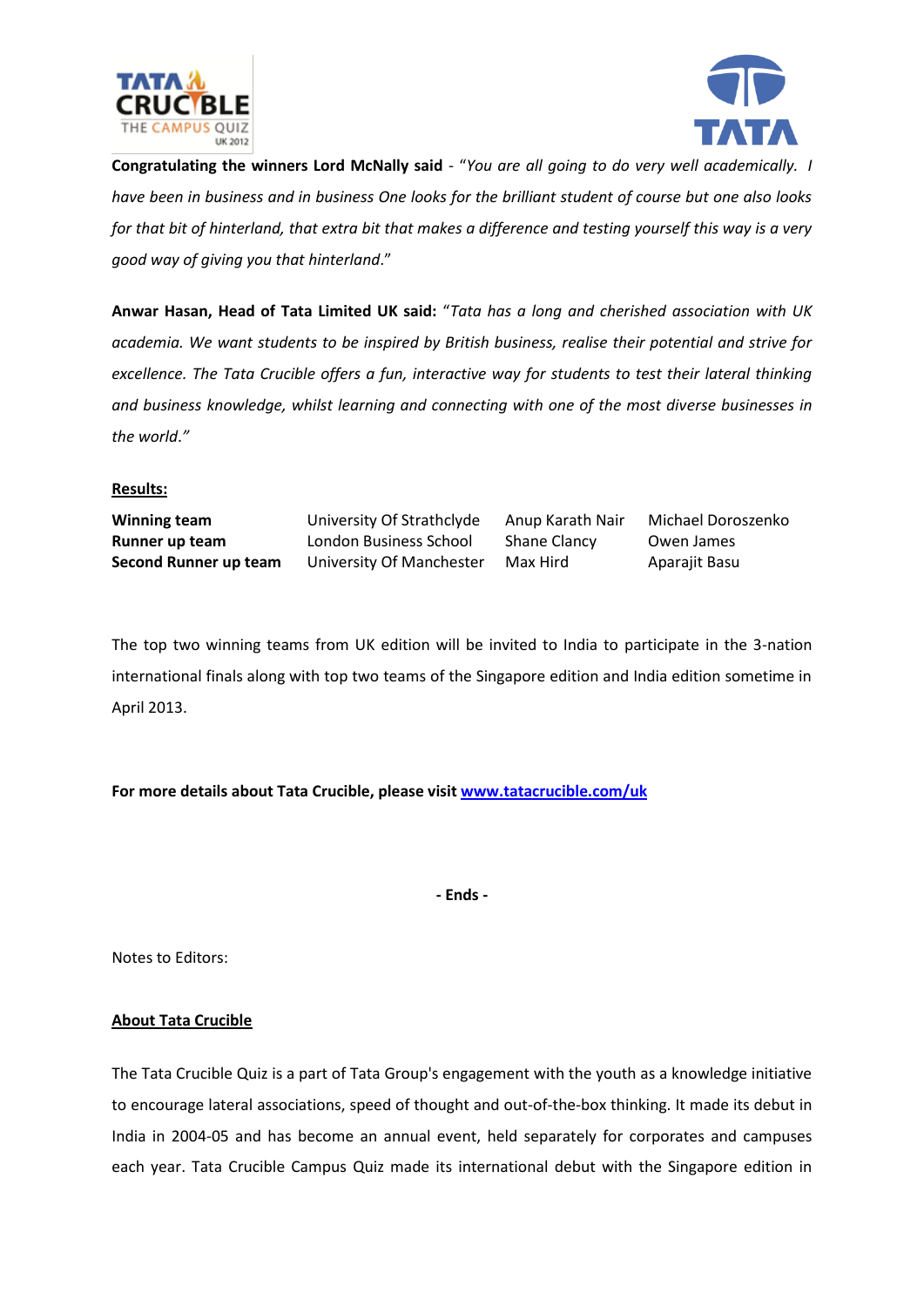



**Congratulating the winners Lord McNally said** - "*You are all going to do very well academically. I have been in business and in business One looks for the brilliant student of course but one also looks for that bit of hinterland, that extra bit that makes a difference and testing yourself this way is a very good way of giving you that hinterland*."

**Anwar Hasan, Head of Tata Limited UK said:** "*Tata has a long and cherished association with UK academia. We want students to be inspired by British business, realise their potential and strive for excellence. The Tata Crucible offers a fun, interactive way for students to test their lateral thinking and business knowledge, whilst learning and connecting with one of the most diverse businesses in the world*.*"*

## **Results:**

**Winning team** University Of Strathclyde Anup Karath Nair Michael Doroszenko **Runner up team** London Business School Shane Clancy Owen James **Second Runner up team** University Of Manchester Max Hird Aparajit Basu

The top two winning teams from UK edition will be invited to India to participate in the 3-nation international finals along with top two teams of the Singapore edition and India edition sometime in April 2013.

**For more details about Tata Crucible, please visit [www.tatacrucible.com/uk](http://www.tatacrucible.com/uk)**

**- Ends -**

Notes to Editors:

## **About Tata Crucible**

The Tata Crucible Quiz is a part of Tata Group's engagement with the youth as a knowledge initiative to encourage lateral associations, speed of thought and out-of-the-box thinking. It made its debut in India in 2004-05 and has become an annual event, held separately for corporates and campuses each year. Tata Crucible Campus Quiz made its international debut with the Singapore edition in